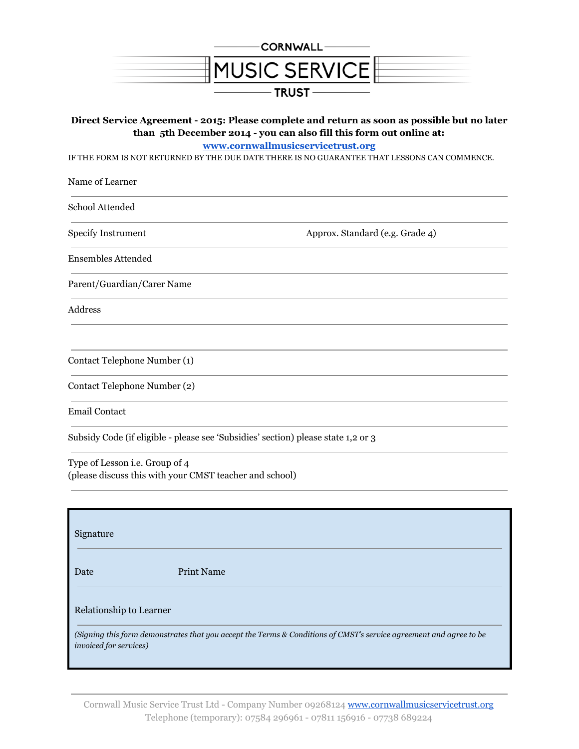

# **Direct Service Agreement - 2015: Please complete and return as soon as possible but no later than 5th December 2014 - you can also fill this form out online at:**

**[www.cornwallmusicservicetrust.org](http://www.google.com/url?q=http%3A%2F%2Fwww.cornwallmusicservicetrust.org&sa=D&sntz=1&usg=AFQjCNHTl0_wT14dKH7SYbhDshemjsW9Sg)**

IF THE FORM IS NOT RETURNED BY THE DUE DATE THERE IS NO GUARANTEE THAT LESSONS CAN COMMENCE.

| Name of Learner              |                                 |
|------------------------------|---------------------------------|
| School Attended              |                                 |
| <b>Specify Instrument</b>    | Approx. Standard (e.g. Grade 4) |
| <b>Ensembles Attended</b>    |                                 |
| Parent/Guardian/Carer Name   |                                 |
| <b>Address</b>               |                                 |
|                              |                                 |
| Contact Telephone Number (1) |                                 |
| Contact Telephone Number (2) |                                 |
| <b>Email Contact</b>         |                                 |

Subsidy Code (if eligible - please see 'Subsidies' section) please state 1,2 or 3

Type of Lesson i.e. Group of 4 (please discuss this with your CMST teacher and school)

| Signature                                                                                                                                            |                   |
|------------------------------------------------------------------------------------------------------------------------------------------------------|-------------------|
| Date                                                                                                                                                 | <b>Print Name</b> |
| Relationship to Learner                                                                                                                              |                   |
| (Signing this form demonstrates that you accept the Terms & Conditions of CMST's service agreement and agree to be<br><i>invoiced for services</i> ) |                   |

Cornwall Music Service Trust Ltd - Company Number 09268124 [www.cornwallmusicservicetrust.org](http://www.google.com/url?q=http%3A%2F%2Fwww.cornwallmusicservicetrust.org&sa=D&sntz=1&usg=AFQjCNHTl0_wT14dKH7SYbhDshemjsW9Sg) Telephone (temporary): 07584 296961 - 07811 156916 - 07738 689224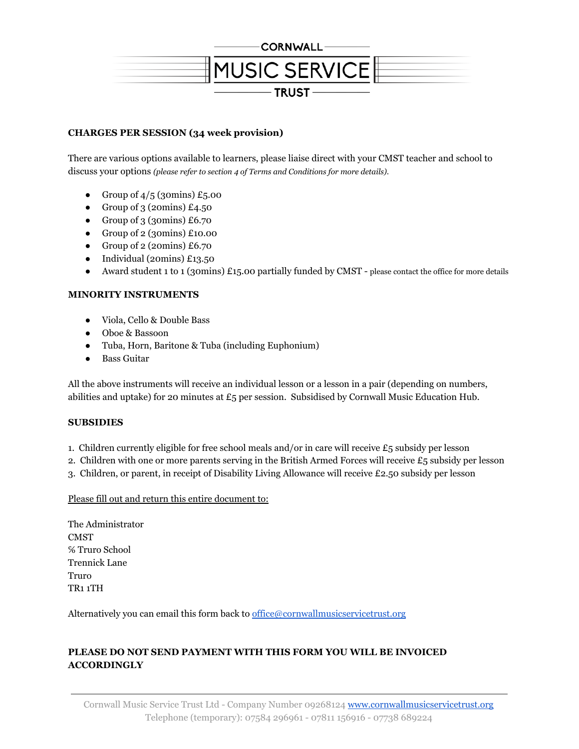

# **CHARGES PER SESSION (34 week provision)**

There are various options available to learners, please liaise direct with your CMST teacher and school to discuss your options *(please refer to section 4 of Terms and Conditions for more details).*

- Group of  $4/5$  (30mins) £5.00
- Group of 3 (20mins)  $£4.50$
- Group of  $3$  (30mins) £6.70
- Group of  $2$  (30mins) £10.00
- Group of  $2$  (20mins) £6.70
- Individual (20mins) £13.50
- Award student 1 to 1 (30mins) £15.00 partially funded by CMST please contact the office for more details

# **MINORITY INSTRUMENTS**

- Viola, Cello & Double Bass
- Oboe & Bassoon
- Tuba, Horn, Baritone & Tuba (including Euphonium)
- Bass Guitar

All the above instruments will receive an individual lesson or a lesson in a pair (depending on numbers, abilities and uptake) for 20 minutes at £5 per session. Subsidised by Cornwall Music Education Hub.

## **SUBSIDIES**

- 1. Children currently eligible for free school meals and/or in care will receive £5 subsidy per lesson
- 2. Children with one or more parents serving in the British Armed Forces will receive £5 subsidy per lesson
- 3. Children, or parent, in receipt of Disability Living Allowance will receive £2.50 subsidy per lesson

## Please fill out and return this entire document to:

The Administrator **CMST** ℅ Truro School Trennick Lane Truro TR1 1TH

Alternatively you can email this form back to [office@cornwallmusicservicetrust.org](mailto:office@cornwallmusicservicetrust.org)

# **PLEASE DO NOT SEND PAYMENT WITH THIS FORM YOU WILL BE INVOICED ACCORDINGLY**